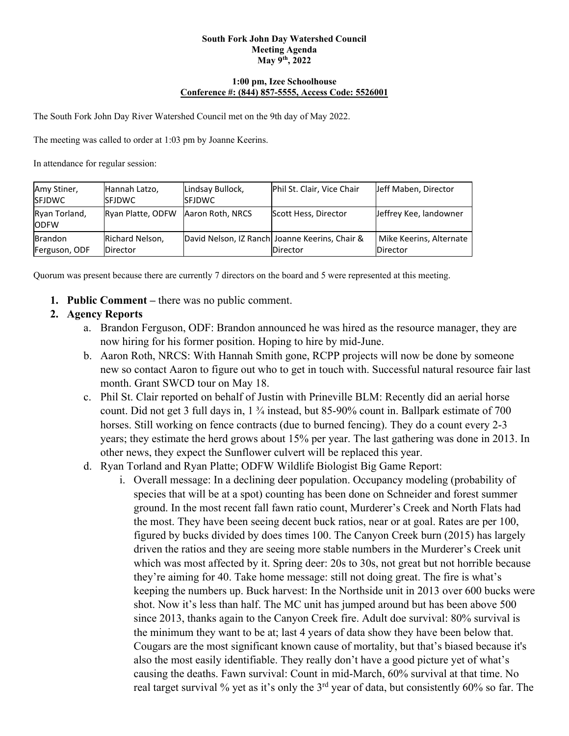#### **South Fork John Day Watershed Council Meeting Agenda May 9th, 2022**

#### **1:00 pm, Izee Schoolhouse Conference #: (844) 857-5555, Access Code: 5526001**

The South Fork John Day River Watershed Council met on the 9th day of May 2022.

The meeting was called to order at 1:03 pm by Joanne Keerins.

In attendance for regular session:

| Amy Stiner,<br><b>SFJDWC</b>    | Hannah Latzo,<br><b>ISFJDWC</b>    | Lindsay Bullock,<br><b>ISFJDWC</b> | Phil St. Clair, Vice Chair                                        | Jeff Maben, Director                |
|---------------------------------|------------------------------------|------------------------------------|-------------------------------------------------------------------|-------------------------------------|
| Ryan Torland,<br><b>ODFW</b>    | Ryan Platte, ODFW Aaron Roth, NRCS |                                    | Scott Hess, Director                                              | Jeffrey Kee, landowner              |
| <b>Brandon</b><br>Ferguson, ODF | Richard Nelson,<br><b>Director</b> |                                    | David Nelson, IZ Ranch Joanne Keerins, Chair &<br><b>Director</b> | Mike Keerins, Alternate<br>Director |

Quorum was present because there are currently 7 directors on the board and 5 were represented at this meeting.

**1. Public Comment –** there was no public comment.

### **2. Agency Reports**

- a. Brandon Ferguson, ODF: Brandon announced he was hired as the resource manager, they are now hiring for his former position. Hoping to hire by mid-June.
- b. Aaron Roth, NRCS: With Hannah Smith gone, RCPP projects will now be done by someone new so contact Aaron to figure out who to get in touch with. Successful natural resource fair last month. Grant SWCD tour on May 18.
- c. Phil St. Clair reported on behalf of Justin with Prineville BLM: Recently did an aerial horse count. Did not get 3 full days in, 1 ¾ instead, but 85-90% count in. Ballpark estimate of 700 horses. Still working on fence contracts (due to burned fencing). They do a count every 2-3 years; they estimate the herd grows about 15% per year. The last gathering was done in 2013. In other news, they expect the Sunflower culvert will be replaced this year.
- d. Ryan Torland and Ryan Platte; ODFW Wildlife Biologist Big Game Report:
	- i. Overall message: In a declining deer population. Occupancy modeling (probability of species that will be at a spot) counting has been done on Schneider and forest summer ground. In the most recent fall fawn ratio count, Murderer's Creek and North Flats had the most. They have been seeing decent buck ratios, near or at goal. Rates are per 100, figured by bucks divided by does times 100. The Canyon Creek burn (2015) has largely driven the ratios and they are seeing more stable numbers in the Murderer's Creek unit which was most affected by it. Spring deer: 20s to 30s, not great but not horrible because they're aiming for 40. Take home message: still not doing great. The fire is what's keeping the numbers up. Buck harvest: In the Northside unit in 2013 over 600 bucks were shot. Now it's less than half. The MC unit has jumped around but has been above 500 since 2013, thanks again to the Canyon Creek fire. Adult doe survival: 80% survival is the minimum they want to be at; last 4 years of data show they have been below that. Cougars are the most significant known cause of mortality, but that's biased because it's also the most easily identifiable. They really don't have a good picture yet of what's causing the deaths. Fawn survival: Count in mid-March, 60% survival at that time. No real target survival % yet as it's only the  $3<sup>rd</sup>$  year of data, but consistently 60% so far. The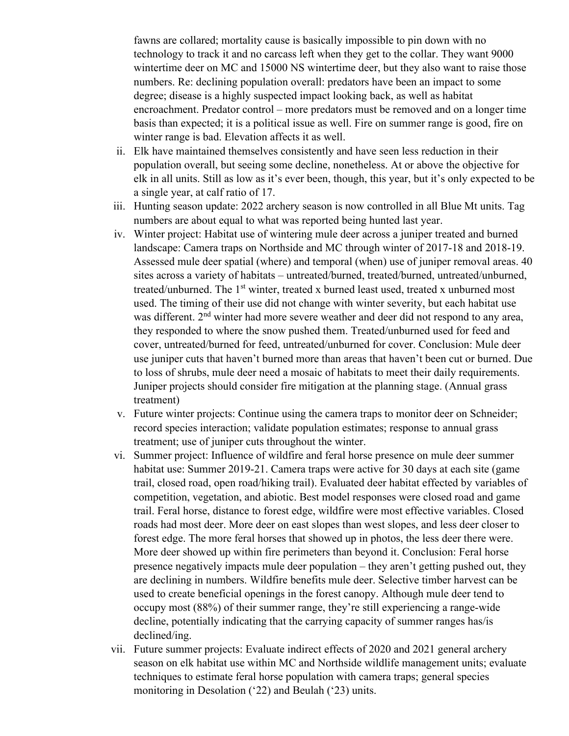fawns are collared; mortality cause is basically impossible to pin down with no technology to track it and no carcass left when they get to the collar. They want 9000 wintertime deer on MC and 15000 NS wintertime deer, but they also want to raise those numbers. Re: declining population overall: predators have been an impact to some degree; disease is a highly suspected impact looking back, as well as habitat encroachment. Predator control – more predators must be removed and on a longer time basis than expected; it is a political issue as well. Fire on summer range is good, fire on winter range is bad. Elevation affects it as well.

- ii. Elk have maintained themselves consistently and have seen less reduction in their population overall, but seeing some decline, nonetheless. At or above the objective for elk in all units. Still as low as it's ever been, though, this year, but it's only expected to be a single year, at calf ratio of 17.
- iii. Hunting season update: 2022 archery season is now controlled in all Blue Mt units. Tag numbers are about equal to what was reported being hunted last year.
- iv. Winter project: Habitat use of wintering mule deer across a juniper treated and burned landscape: Camera traps on Northside and MC through winter of 2017-18 and 2018-19. Assessed mule deer spatial (where) and temporal (when) use of juniper removal areas. 40 sites across a variety of habitats – untreated/burned, treated/burned, untreated/unburned, treated/unburned. The 1<sup>st</sup> winter, treated x burned least used, treated x unburned most used. The timing of their use did not change with winter severity, but each habitat use was different. 2<sup>nd</sup> winter had more severe weather and deer did not respond to any area, they responded to where the snow pushed them. Treated/unburned used for feed and cover, untreated/burned for feed, untreated/unburned for cover. Conclusion: Mule deer use juniper cuts that haven't burned more than areas that haven't been cut or burned. Due to loss of shrubs, mule deer need a mosaic of habitats to meet their daily requirements. Juniper projects should consider fire mitigation at the planning stage. (Annual grass treatment)
- v. Future winter projects: Continue using the camera traps to monitor deer on Schneider; record species interaction; validate population estimates; response to annual grass treatment; use of juniper cuts throughout the winter.
- vi. Summer project: Influence of wildfire and feral horse presence on mule deer summer habitat use: Summer 2019-21. Camera traps were active for 30 days at each site (game trail, closed road, open road/hiking trail). Evaluated deer habitat effected by variables of competition, vegetation, and abiotic. Best model responses were closed road and game trail. Feral horse, distance to forest edge, wildfire were most effective variables. Closed roads had most deer. More deer on east slopes than west slopes, and less deer closer to forest edge. The more feral horses that showed up in photos, the less deer there were. More deer showed up within fire perimeters than beyond it. Conclusion: Feral horse presence negatively impacts mule deer population – they aren't getting pushed out, they are declining in numbers. Wildfire benefits mule deer. Selective timber harvest can be used to create beneficial openings in the forest canopy. Although mule deer tend to occupy most (88%) of their summer range, they're still experiencing a range-wide decline, potentially indicating that the carrying capacity of summer ranges has/is declined/ing.
- vii. Future summer projects: Evaluate indirect effects of 2020 and 2021 general archery season on elk habitat use within MC and Northside wildlife management units; evaluate techniques to estimate feral horse population with camera traps; general species monitoring in Desolation ('22) and Beulah ('23) units.